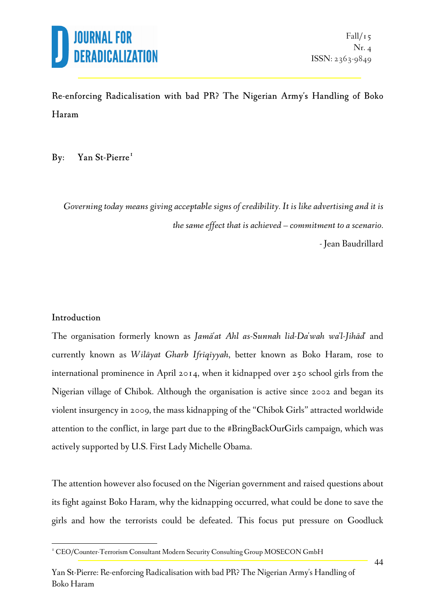

#### Re-enforcing Radicalisation with bad PR? The Nigerian Army's Handling of Boko Haram

#### By: Yan St-Pierre<sup>1</sup>

*Governing today means giving acceptable signs of credibility. It is like advertising and it is the same effect that is achieved – commitment to a scenario.*  - Jean Baudrillard

#### Introduction

 $\overline{a}$ 

The organisation formerly known as *Jamā'at Ahl as-Sunnah lid-Da'wah wa'l-Jihād'* and currently known as *Wilāyat Gharb Ifrīqīyyah*, better known as Boko Haram, rose to international prominence in April 2014, when it kidnapped over 250 school girls from the Nigerian village of Chibok. Although the organisation is active since 2002 and began its violent insurgency in 2009, the mass kidnapping of the "Chibok Girls" attracted worldwide attention to the conflict, in large part due to the #BringBackOurGirls campaign, which was actively supported by U.S. First Lady Michelle Obama.

The attention however also focused on the Nigerian government and raised questions about its fight against Boko Haram, why the kidnapping occurred, what could be done to save the girls and how the terrorists could be defeated. This focus put pressure on Goodluck

<sup>&</sup>lt;sup>1</sup> CEO/Counter-Terrorism Consultant Modern Security Consulting Group MOSECON GmbH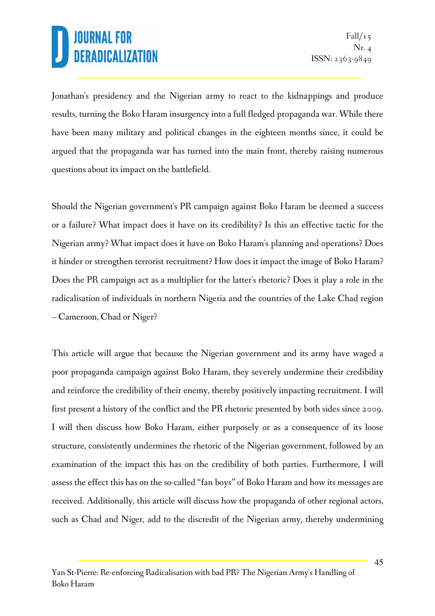Jonathan's presidency and the Nigerian army to react to the kidnappings and produce results, turning the Boko Haram insurgency into a full fledged propaganda war. While there have been many military and political changes in the eighteen months since, it could be argued that the propaganda war has turned into the main front, thereby raising numerous questions about its impact on the battlefield.

Should the Nigerian government's PR campaign against Boko Haram be deemed a success or a failure? What impact does it have on its credibility? Is this an effective tactic for the Nigerian army? What impact does it have on Boko Haram's planning and operations? Does it hinder or strengthen terrorist recruitment? How does it impact the image of Boko Haram? Does the PR campaign act as a multiplier for the latter's rhetoric? Does it play a role in the radicalisation of individuals in northern Nigeria and the countries of the Lake Chad region – Cameroon, Chad or Niger?

This article will argue that because the Nigerian government and its army have waged a poor propaganda campaign against Boko Haram, they severely undermine their credibility and reinforce the credibility of their enemy, thereby positively impacting recruitment. I will first present a history of the conflict and the PR rhetoric presented by both sides since 2009. I will then discuss how Boko Haram, either purposely or as a consequence of its loose structure, consistently undermines the rhetoric of the Nigerian government, followed by an examination of the impact this has on the credibility of both parties. Furthermore, I will assess the effect this has on the so-called "fan boys" of Boko Haram and how its messages are received. Additionally, this article will discuss how the propaganda of other regional actors, such as Chad and Niger, add to the discredit of the Nigerian army, thereby undermining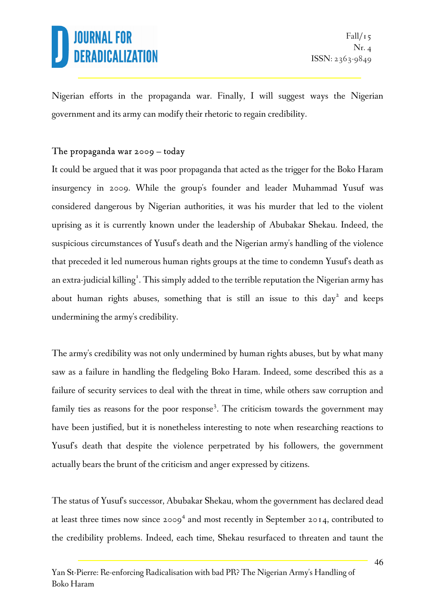Nigerian efforts in the propaganda war. Finally, I will suggest ways the Nigerian government and its army can modify their rhetoric to regain credibility.

#### The propaganda war 2009 – today

It could be argued that it was poor propaganda that acted as the trigger for the Boko Haram insurgency in 2009. While the group's founder and leader Muhammad Yusuf was considered dangerous by Nigerian authorities, it was his murder that led to the violent uprising as it is currently known under the leadership of Abubakar Shekau. Indeed, the suspicious circumstances of Yusuf's death and the Nigerian army's handling of the violence that preceded it led numerous human rights groups at the time to condemn Yusuf's death as an extra-judicial killing<sup>1</sup>. This simply added to the terrible reputation the Nigerian army has about human rights abuses, something that is still an issue to this  $day^2$  and keeps undermining the army's credibility.

The army's credibility was not only undermined by human rights abuses, but by what many saw as a failure in handling the fledgeling Boko Haram. Indeed, some described this as a failure of security services to deal with the threat in time, while others saw corruption and family ties as reasons for the poor response<sup>3</sup>. The criticism towards the government may have been justified, but it is nonetheless interesting to note when researching reactions to Yusuf's death that despite the violence perpetrated by his followers, the government actually bears the brunt of the criticism and anger expressed by citizens.

The status of Yusuf's successor, Abubakar Shekau, whom the government has declared dead at least three times now since  $2009<sup>4</sup>$  and most recently in September 2014, contributed to the credibility problems. Indeed, each time, Shekau resurfaced to threaten and taunt the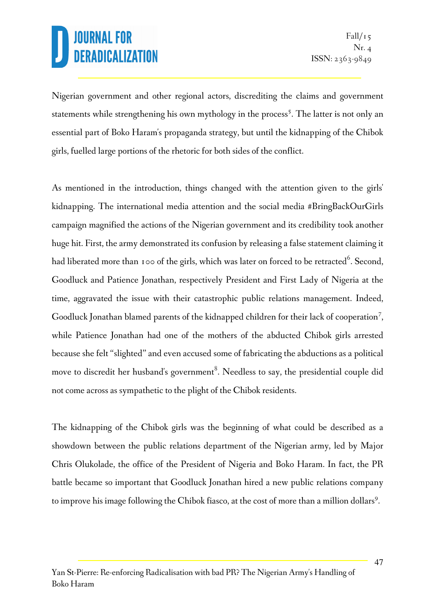Nigerian government and other regional actors, discrediting the claims and government statements while strengthening his own mythology in the process<sup>5</sup>. The latter is not only an essential part of Boko Haram's propaganda strategy, but until the kidnapping of the Chibok girls, fuelled large portions of the rhetoric for both sides of the conflict.

As mentioned in the introduction, things changed with the attention given to the girls' kidnapping. The international media attention and the social media #BringBackOurGirls campaign magnified the actions of the Nigerian government and its credibility took another huge hit. First, the army demonstrated its confusion by releasing a false statement claiming it had liberated more than 100 of the girls, which was later on forced to be retracted $^6$ . Second, Goodluck and Patience Jonathan, respectively President and First Lady of Nigeria at the time, aggravated the issue with their catastrophic public relations management. Indeed, Goodluck Jonathan blamed parents of the kidnapped children for their lack of cooperation<sup>7</sup>, while Patience Jonathan had one of the mothers of the abducted Chibok girls arrested because she felt "slighted" and even accused some of fabricating the abductions as a political move to discredit her husband's government $^8.$  Needless to say, the presidential couple did not come across as sympathetic to the plight of the Chibok residents.

The kidnapping of the Chibok girls was the beginning of what could be described as a showdown between the public relations department of the Nigerian army, led by Major Chris Olukolade, the office of the President of Nigeria and Boko Haram. In fact, the PR battle became so important that Goodluck Jonathan hired a new public relations company to improve his image following the Chibok fiasco, at the cost of more than a million dollars<sup>9</sup>.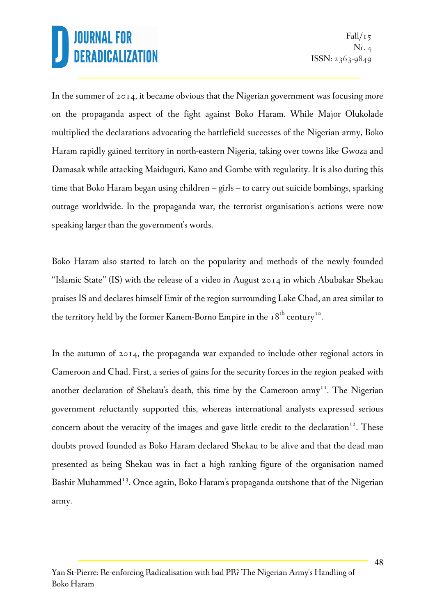In the summer of 2014, it became obvious that the Nigerian government was focusing more on the propaganda aspect of the fight against Boko Haram. While Major Olukolade multiplied the declarations advocating the battlefield successes of the Nigerian army, Boko Haram rapidly gained territory in north-eastern Nigeria, taking over towns like Gwoza and Damasak while attacking Maiduguri, Kano and Gombe with regularity. It is also during this time that Boko Haram began using children – girls – to carry out suicide bombings, sparking outrage worldwide. In the propaganda war, the terrorist organisation's actions were now speaking larger than the government's words.

Boko Haram also started to latch on the popularity and methods of the newly founded "Islamic State" (IS) with the release of a video in August 2014 in which Abubakar Shekau praises IS and declares himself Emir of the region surrounding Lake Chad, an area similar to the territory held by the former Kanem-Borno Empire in the 18<sup>th</sup> century<sup>10</sup>.

In the autumn of 2014, the propaganda war expanded to include other regional actors in Cameroon and Chad. First, a series of gains for the security forces in the region peaked with another declaration of Shekau's death, this time by the Cameroon  $army<sup>T</sup>$ . The Nigerian government reluctantly supported this, whereas international analysts expressed serious concern about the veracity of the images and gave little credit to the declaration<sup>12</sup>. These doubts proved founded as Boko Haram declared Shekau to be alive and that the dead man presented as being Shekau was in fact a high ranking figure of the organisation named Bashir Muhammed<sup>13</sup>. Once again, Boko Haram's propaganda outshone that of the Nigerian army.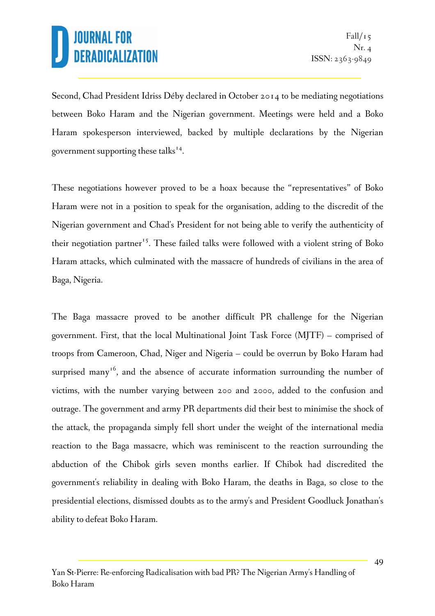Second, Chad President Idriss Déby declared in October 2014 to be mediating negotiations between Boko Haram and the Nigerian government. Meetings were held and a Boko Haram spokesperson interviewed, backed by multiple declarations by the Nigerian government supporting these talks<sup>14</sup>.

These negotiations however proved to be a hoax because the "representatives" of Boko Haram were not in a position to speak for the organisation, adding to the discredit of the Nigerian government and Chad's President for not being able to verify the authenticity of their negotiation partner<sup>15</sup>. These failed talks were followed with a violent string of Boko Haram attacks, which culminated with the massacre of hundreds of civilians in the area of Baga, Nigeria.

The Baga massacre proved to be another difficult PR challenge for the Nigerian government. First, that the local Multinational Joint Task Force (MJTF) – comprised of troops from Cameroon, Chad, Niger and Nigeria – could be overrun by Boko Haram had surprised many<sup>16</sup>, and the absence of accurate information surrounding the number of victims, with the number varying between 200 and 2000, added to the confusion and outrage. The government and army PR departments did their best to minimise the shock of the attack, the propaganda simply fell short under the weight of the international media reaction to the Baga massacre, which was reminiscent to the reaction surrounding the abduction of the Chibok girls seven months earlier. If Chibok had discredited the government's reliability in dealing with Boko Haram, the deaths in Baga, so close to the presidential elections, dismissed doubts as to the army's and President Goodluck Jonathan's ability to defeat Boko Haram.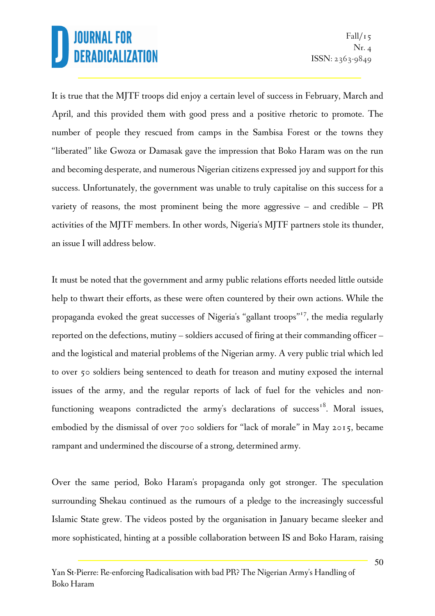It is true that the MJTF troops did enjoy a certain level of success in February, March and April, and this provided them with good press and a positive rhetoric to promote. The number of people they rescued from camps in the Sambisa Forest or the towns they "liberated" like Gwoza or Damasak gave the impression that Boko Haram was on the run and becoming desperate, and numerous Nigerian citizens expressed joy and support for this success. Unfortunately, the government was unable to truly capitalise on this success for a variety of reasons, the most prominent being the more aggressive – and credible – PR activities of the MJTF members. In other words, Nigeria's MJTF partners stole its thunder, an issue I will address below.

It must be noted that the government and army public relations efforts needed little outside help to thwart their efforts, as these were often countered by their own actions. While the propaganda evoked the great successes of Nigeria's "gallant troops"<sup>17</sup>, the media regularly reported on the defections, mutiny – soldiers accused of firing at their commanding officer – and the logistical and material problems of the Nigerian army. A very public trial which led to over 50 soldiers being sentenced to death for treason and mutiny exposed the internal issues of the army, and the regular reports of lack of fuel for the vehicles and nonfunctioning weapons contradicted the army's declarations of success<sup>18</sup>. Moral issues, embodied by the dismissal of over 700 soldiers for "lack of morale" in May 2015, became rampant and undermined the discourse of a strong, determined army.

Over the same period, Boko Haram's propaganda only got stronger. The speculation surrounding Shekau continued as the rumours of a pledge to the increasingly successful Islamic State grew. The videos posted by the organisation in January became sleeker and more sophisticated, hinting at a possible collaboration between IS and Boko Haram, raising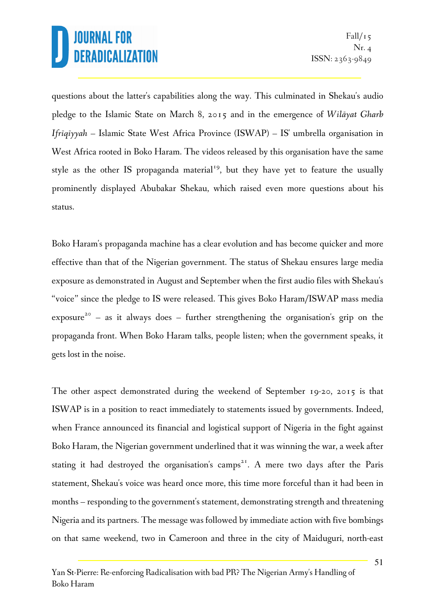questions about the latter's capabilities along the way. This culminated in Shekau's audio pledge to the Islamic State on March 8, 2015 and in the emergence of *Wilāyat Gharb Ifrīqīyyah* – Islamic State West Africa Province (ISWAP) – IS' umbrella organisation in West Africa rooted in Boko Haram. The videos released by this organisation have the same style as the other IS propaganda material<sup>19</sup>, but they have yet to feature the usually prominently displayed Abubakar Shekau, which raised even more questions about his status.

Boko Haram's propaganda machine has a clear evolution and has become quicker and more effective than that of the Nigerian government. The status of Shekau ensures large media exposure as demonstrated in August and September when the first audio files with Shekau's "voice" since the pledge to IS were released. This gives Boko Haram/ISWAP mass media exposure<sup>20</sup> - as it always does - further strengthening the organisation's grip on the propaganda front. When Boko Haram talks, people listen; when the government speaks, it gets lost in the noise.

The other aspect demonstrated during the weekend of September 19-20, 2015 is that ISWAP is in a position to react immediately to statements issued by governments. Indeed, when France announced its financial and logistical support of Nigeria in the fight against Boko Haram, the Nigerian government underlined that it was winning the war, a week after stating it had destroyed the organisation's camps<sup>21</sup>. A mere two days after the Paris statement, Shekau's voice was heard once more, this time more forceful than it had been in months – responding to the government's statement, demonstrating strength and threatening Nigeria and its partners. The message was followed by immediate action with five bombings on that same weekend, two in Cameroon and three in the city of Maiduguri, north-east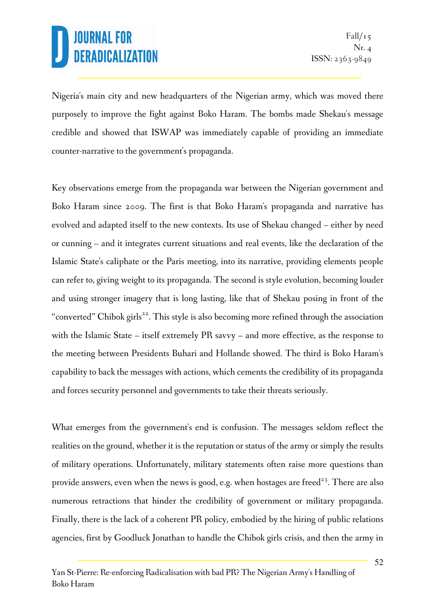Nigeria's main city and new headquarters of the Nigerian army, which was moved there purposely to improve the fight against Boko Haram. The bombs made Shekau's message credible and showed that ISWAP was immediately capable of providing an immediate counter-narrative to the government's propaganda.

Key observations emerge from the propaganda war between the Nigerian government and Boko Haram since 2009. The first is that Boko Haram's propaganda and narrative has evolved and adapted itself to the new contexts. Its use of Shekau changed – either by need or cunning – and it integrates current situations and real events, like the declaration of the Islamic State's caliphate or the Paris meeting, into its narrative, providing elements people can refer to, giving weight to its propaganda. The second is style evolution, becoming louder and using stronger imagery that is long lasting, like that of Shekau posing in front of the "converted" Chibok girls<sup>22</sup>. This style is also becoming more refined through the association with the Islamic State – itself extremely PR savvy – and more effective, as the response to the meeting between Presidents Buhari and Hollande showed. The third is Boko Haram's capability to back the messages with actions, which cements the credibility of its propaganda and forces security personnel and governments to take their threats seriously.

What emerges from the government's end is confusion. The messages seldom reflect the realities on the ground, whether it is the reputation or status of the army or simply the results of military operations. Unfortunately, military statements often raise more questions than provide answers, even when the news is good, e.g. when hostages are freed<sup>23</sup>. There are also numerous retractions that hinder the credibility of government or military propaganda. Finally, there is the lack of a coherent PR policy, embodied by the hiring of public relations agencies, first by Goodluck Jonathan to handle the Chibok girls crisis, and then the army in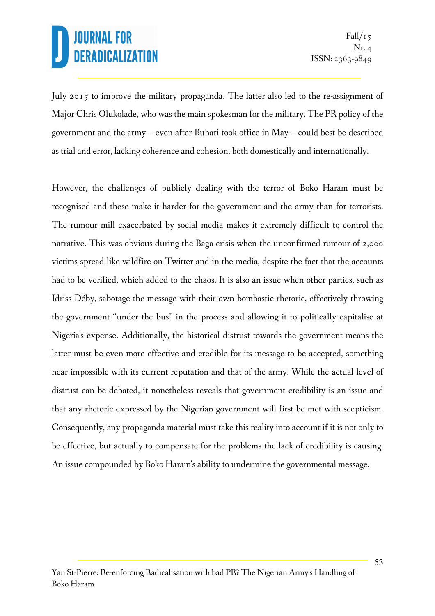July 2015 to improve the military propaganda. The latter also led to the re-assignment of Major Chris Olukolade, who was the main spokesman for the military. The PR policy of the government and the army – even after Buhari took office in May – could best be described as trial and error, lacking coherence and cohesion, both domestically and internationally.

However, the challenges of publicly dealing with the terror of Boko Haram must be recognised and these make it harder for the government and the army than for terrorists. The rumour mill exacerbated by social media makes it extremely difficult to control the narrative. This was obvious during the Baga crisis when the unconfirmed rumour of 2,000 victims spread like wildfire on Twitter and in the media, despite the fact that the accounts had to be verified, which added to the chaos. It is also an issue when other parties, such as Idriss Déby, sabotage the message with their own bombastic rhetoric, effectively throwing the government "under the bus" in the process and allowing it to politically capitalise at Nigeria's expense. Additionally, the historical distrust towards the government means the latter must be even more effective and credible for its message to be accepted, something near impossible with its current reputation and that of the army. While the actual level of distrust can be debated, it nonetheless reveals that government credibility is an issue and that any rhetoric expressed by the Nigerian government will first be met with scepticism. Consequently, any propaganda material must take this reality into account if it is not only to be effective, but actually to compensate for the problems the lack of credibility is causing. An issue compounded by Boko Haram's ability to undermine the governmental message.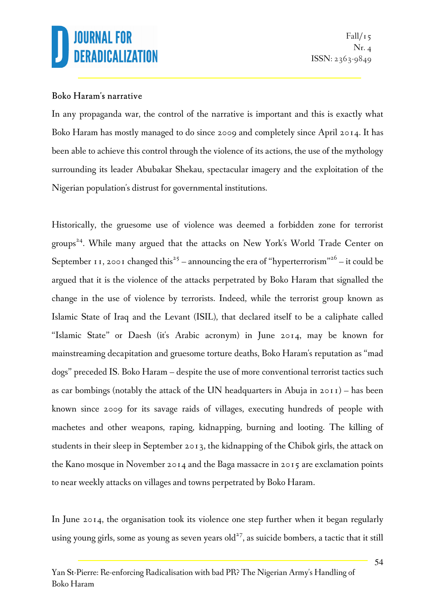#### Boko Haram's narrative

In any propaganda war, the control of the narrative is important and this is exactly what Boko Haram has mostly managed to do since 2009 and completely since April 2014. It has been able to achieve this control through the violence of its actions, the use of the mythology surrounding its leader Abubakar Shekau, spectacular imagery and the exploitation of the Nigerian population's distrust for governmental institutions.

Historically, the gruesome use of violence was deemed a forbidden zone for terrorist groups <sup>24</sup>. While many argued that the attacks on New York's World Trade Center on September 11, 2001 changed this<sup>25</sup> – announcing the era of "hyperterrorism"<sup>26</sup> – it could be argued that it is the violence of the attacks perpetrated by Boko Haram that signalled the change in the use of violence by terrorists. Indeed, while the terrorist group known as Islamic State of Iraq and the Levant (ISIL), that declared itself to be a caliphate called "Islamic State" or Daesh (it's Arabic acronym) in June 2014, may be known for mainstreaming decapitation and gruesome torture deaths, Boko Haram's reputation as "mad dogs" preceded IS. Boko Haram – despite the use of more conventional terrorist tactics such as car bombings (notably the attack of the UN headquarters in Abuja in 2011) – has been known since 2009 for its savage raids of villages, executing hundreds of people with machetes and other weapons, raping, kidnapping, burning and looting. The killing of students in their sleep in September 2013, the kidnapping of the Chibok girls, the attack on the Kano mosque in November 2014 and the Baga massacre in 2015 are exclamation points to near weekly attacks on villages and towns perpetrated by Boko Haram.

In June 2014, the organisation took its violence one step further when it began regularly using young girls, some as young as seven years old<sup>27</sup>, as suicide bombers, a tactic that it still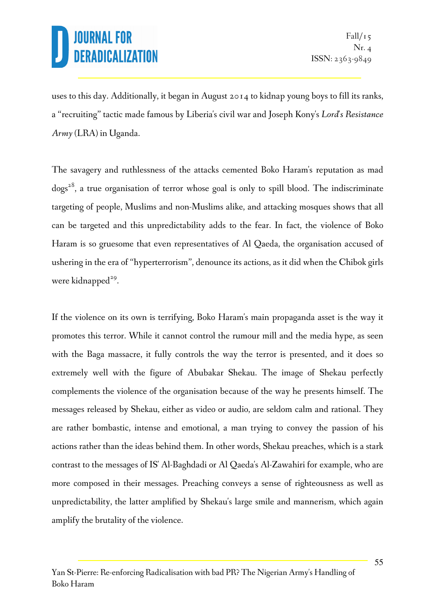uses to this day. Additionally, it began in August 2014 to kidnap young boys to fill its ranks, a "recruiting" tactic made famous by Liberia's civil war and Joseph Kony's *Lord's Resistance Army* (LRA) in Uganda.

The savagery and ruthlessness of the attacks cemented Boko Haram's reputation as mad dogs<sup>28</sup>, a true organisation of terror whose goal is only to spill blood. The indiscriminate targeting of people, Muslims and non-Muslims alike, and attacking mosques shows that all can be targeted and this unpredictability adds to the fear. In fact, the violence of Boko Haram is so gruesome that even representatives of Al Qaeda, the organisation accused of ushering in the era of "hyperterrorism", denounce its actions, as it did when the Chibok girls were kidnapped<sup>29</sup>.

If the violence on its own is terrifying, Boko Haram's main propaganda asset is the way it promotes this terror. While it cannot control the rumour mill and the media hype, as seen with the Baga massacre, it fully controls the way the terror is presented, and it does so extremely well with the figure of Abubakar Shekau. The image of Shekau perfectly complements the violence of the organisation because of the way he presents himself. The messages released by Shekau, either as video or audio, are seldom calm and rational. They are rather bombastic, intense and emotional, a man trying to convey the passion of his actions rather than the ideas behind them. In other words, Shekau preaches, which is a stark contrast to the messages of IS' Al-Baghdadi or Al Qaeda's Al-Zawahiri for example, who are more composed in their messages. Preaching conveys a sense of righteousness as well as unpredictability, the latter amplified by Shekau's large smile and mannerism, which again amplify the brutality of the violence.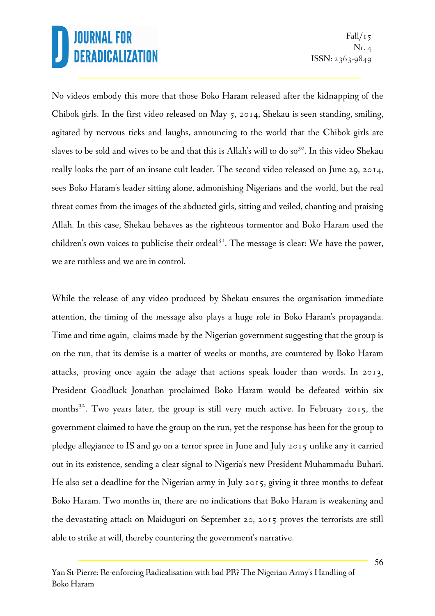No videos embody this more that those Boko Haram released after the kidnapping of the Chibok girls. In the first video released on May 5, 2014, Shekau is seen standing, smiling, agitated by nervous ticks and laughs, announcing to the world that the Chibok girls are slaves to be sold and wives to be and that this is Allah's will to do so<sup>3 $\circ$ </sup>. In this video Shekau really looks the part of an insane cult leader. The second video released on June 29, 2014, sees Boko Haram's leader sitting alone, admonishing Nigerians and the world, but the real threat comes from the images of the abducted girls, sitting and veiled, chanting and praising Allah. In this case, Shekau behaves as the righteous tormentor and Boko Haram used the children's own voices to publicise their ordeal<sup>31</sup>. The message is clear: We have the power, we are ruthless and we are in control.

While the release of any video produced by Shekau ensures the organisation immediate attention, the timing of the message also plays a huge role in Boko Haram's propaganda. Time and time again, claims made by the Nigerian government suggesting that the group is on the run, that its demise is a matter of weeks or months, are countered by Boko Haram attacks, proving once again the adage that actions speak louder than words. In 2013, President Goodluck Jonathan proclaimed Boko Haram would be defeated within six months<sup>32</sup>. Two years later, the group is still very much active. In February 2015, the government claimed to have the group on the run, yet the response has been for the group to pledge allegiance to IS and go on a terror spree in June and July 2015 unlike any it carried out in its existence, sending a clear signal to Nigeria's new President Muhammadu Buhari. He also set a deadline for the Nigerian army in July 2015, giving it three months to defeat Boko Haram. Two months in, there are no indications that Boko Haram is weakening and the devastating attack on Maiduguri on September 20, 2015 proves the terrorists are still able to strike at will, thereby countering the government's narrative.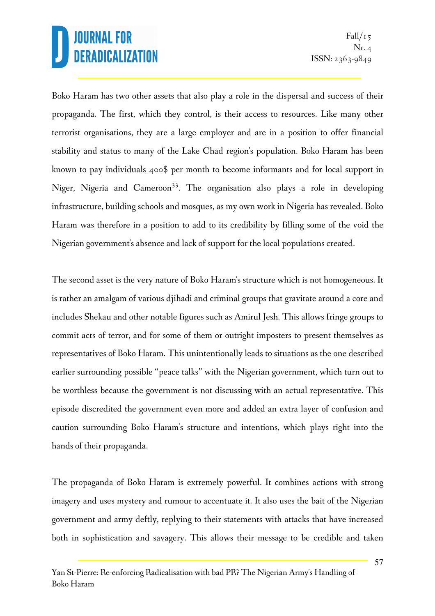Boko Haram has two other assets that also play a role in the dispersal and success of their propaganda. The first, which they control, is their access to resources. Like many other terrorist organisations, they are a large employer and are in a position to offer financial stability and status to many of the Lake Chad region's population. Boko Haram has been known to pay individuals 400\$ per month to become informants and for local support in Niger, Nigeria and Cameroon<sup>33</sup>. The organisation also plays a role in developing infrastructure, building schools and mosques, as my own work in Nigeria has revealed. Boko Haram was therefore in a position to add to its credibility by filling some of the void the Nigerian government's absence and lack of support for the local populations created.

The second asset is the very nature of Boko Haram's structure which is not homogeneous. It is rather an amalgam of various djihadi and criminal groups that gravitate around a core and includes Shekau and other notable figures such as Amirul Jesh. This allows fringe groups to commit acts of terror, and for some of them or outright imposters to present themselves as representatives of Boko Haram. This unintentionally leads to situations as the one described earlier surrounding possible "peace talks" with the Nigerian government, which turn out to be worthless because the government is not discussing with an actual representative. This episode discredited the government even more and added an extra layer of confusion and caution surrounding Boko Haram's structure and intentions, which plays right into the hands of their propaganda.

The propaganda of Boko Haram is extremely powerful. It combines actions with strong imagery and uses mystery and rumour to accentuate it. It also uses the bait of the Nigerian government and army deftly, replying to their statements with attacks that have increased both in sophistication and savagery. This allows their message to be credible and taken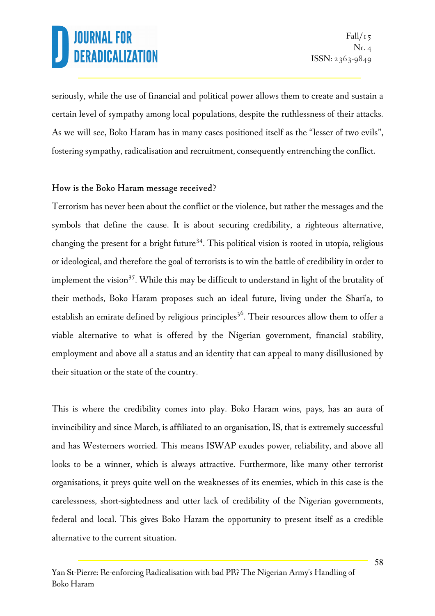seriously, while the use of financial and political power allows them to create and sustain a certain level of sympathy among local populations, despite the ruthlessness of their attacks. As we will see, Boko Haram has in many cases positioned itself as the "lesser of two evils", fostering sympathy, radicalisation and recruitment, consequently entrenching the conflict.

#### How is the Boko Haram message received?

Terrorism has never been about the conflict or the violence, but rather the messages and the symbols that define the cause. It is about securing credibility, a righteous alternative, changing the present for a bright future<sup>34</sup>. This political vision is rooted in utopia, religious or ideological, and therefore the goal of terrorists is to win the battle of credibility in order to implement the vision<sup>35</sup>. While this may be difficult to understand in light of the brutality of their methods, Boko Haram proposes such an ideal future, living under the Shari'a, to establish an emirate defined by religious principles <sup>36</sup>. Their resources allow them to offer a viable alternative to what is offered by the Nigerian government, financial stability, employment and above all a status and an identity that can appeal to many disillusioned by their situation or the state of the country.

This is where the credibility comes into play. Boko Haram wins, pays, has an aura of invincibility and since March, is affiliated to an organisation, IS, that is extremely successful and has Westerners worried. This means ISWAP exudes power, reliability, and above all looks to be a winner, which is always attractive. Furthermore, like many other terrorist organisations, it preys quite well on the weaknesses of its enemies, which in this case is the carelessness, short-sightedness and utter lack of credibility of the Nigerian governments, federal and local. This gives Boko Haram the opportunity to present itself as a credible alternative to the current situation.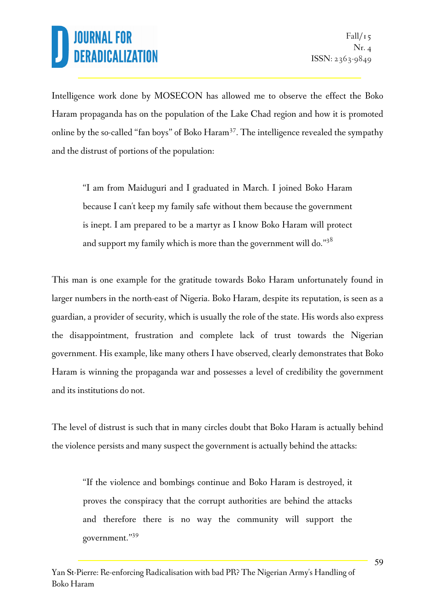Intelligence work done by MOSECON has allowed me to observe the effect the Boko Haram propaganda has on the population of the Lake Chad region and how it is promoted online by the so-called "fan boys" of Boko Haram<sup>37</sup>. The intelligence revealed the sympathy and the distrust of portions of the population:

"I am from Maiduguri and I graduated in March. I joined Boko Haram because I can't keep my family safe without them because the government is inept. I am prepared to be a martyr as I know Boko Haram will protect and support my family which is more than the government will do."38

This man is one example for the gratitude towards Boko Haram unfortunately found in larger numbers in the north-east of Nigeria. Boko Haram, despite its reputation, is seen as a guardian, a provider of security, which is usually the role of the state. His words also express the disappointment, frustration and complete lack of trust towards the Nigerian government. His example, like many others I have observed, clearly demonstrates that Boko Haram is winning the propaganda war and possesses a level of credibility the government and its institutions do not.

The level of distrust is such that in many circles doubt that Boko Haram is actually behind the violence persists and many suspect the government is actually behind the attacks:

"If the violence and bombings continue and Boko Haram is destroyed, it proves the conspiracy that the corrupt authorities are behind the attacks and therefore there is no way the community will support the government."<sup>39</sup>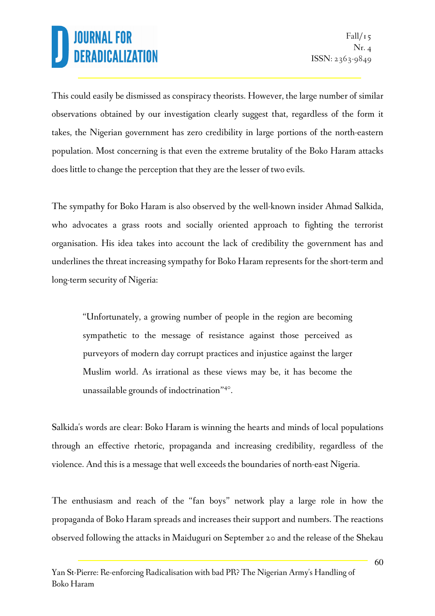This could easily be dismissed as conspiracy theorists. However, the large number of similar observations obtained by our investigation clearly suggest that, regardless of the form it takes, the Nigerian government has zero credibility in large portions of the north-eastern population. Most concerning is that even the extreme brutality of the Boko Haram attacks does little to change the perception that they are the lesser of two evils.

The sympathy for Boko Haram is also observed by the well-known insider Ahmad Salkida, who advocates a grass roots and socially oriented approach to fighting the terrorist organisation. His idea takes into account the lack of credibility the government has and underlines the threat increasing sympathy for Boko Haram represents for the short-term and long-term security of Nigeria:

"Unfortunately, a growing number of people in the region are becoming sympathetic to the message of resistance against those perceived as purveyors of modern day corrupt practices and injustice against the larger Muslim world. As irrational as these views may be, it has become the unassailable grounds of indoctrination"<sup>40</sup>.

Salkida's words are clear: Boko Haram is winning the hearts and minds of local populations through an effective rhetoric, propaganda and increasing credibility, regardless of the violence. And this is a message that well exceeds the boundaries of north-east Nigeria.

The enthusiasm and reach of the "fan boys" network play a large role in how the propaganda of Boko Haram spreads and increases their support and numbers. The reactions observed following the attacks in Maiduguri on September 20 and the release of the Shekau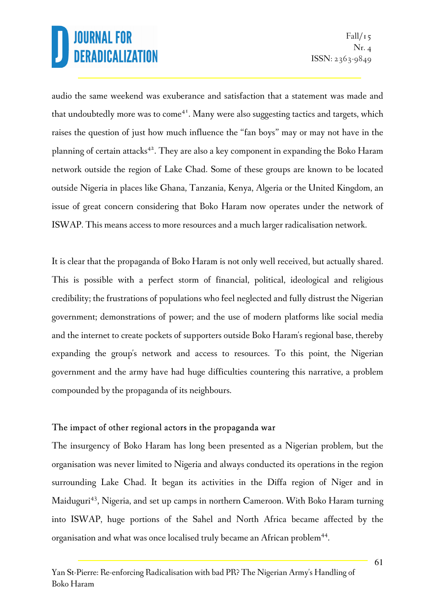audio the same weekend was exuberance and satisfaction that a statement was made and that undoubtedly more was to come<sup>41</sup>. Many were also suggesting tactics and targets, which raises the question of just how much influence the "fan boys" may or may not have in the planning of certain attacks<sup>42</sup>. They are also a key component in expanding the Boko Haram network outside the region of Lake Chad. Some of these groups are known to be located outside Nigeria in places like Ghana, Tanzania, Kenya, Algeria or the United Kingdom, an issue of great concern considering that Boko Haram now operates under the network of ISWAP. This means access to more resources and a much larger radicalisation network.

It is clear that the propaganda of Boko Haram is not only well received, but actually shared. This is possible with a perfect storm of financial, political, ideological and religious credibility; the frustrations of populations who feel neglected and fully distrust the Nigerian government; demonstrations of power; and the use of modern platforms like social media and the internet to create pockets of supporters outside Boko Haram's regional base, thereby expanding the group's network and access to resources. To this point, the Nigerian government and the army have had huge difficulties countering this narrative, a problem compounded by the propaganda of its neighbours.

#### The impact of other regional actors in the propaganda war

The insurgency of Boko Haram has long been presented as a Nigerian problem, but the organisation was never limited to Nigeria and always conducted its operations in the region surrounding Lake Chad. It began its activities in the Diffa region of Niger and in Maiduguri<sup>43</sup>, Nigeria, and set up camps in northern Cameroon. With Boko Haram turning into ISWAP, huge portions of the Sahel and North Africa became affected by the organisation and what was once localised truly became an African problem<sup>44</sup>.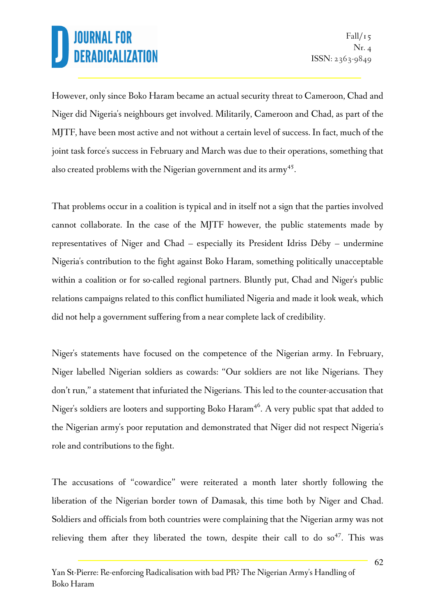However, only since Boko Haram became an actual security threat to Cameroon, Chad and Niger did Nigeria's neighbours get involved. Militarily, Cameroon and Chad, as part of the MJTF, have been most active and not without a certain level of success. In fact, much of the joint task force's success in February and March was due to their operations, something that also created problems with the Nigerian government and its army<sup>45</sup>.

That problems occur in a coalition is typical and in itself not a sign that the parties involved cannot collaborate. In the case of the MJTF however, the public statements made by representatives of Niger and Chad – especially its President Idriss Déby – undermine Nigeria's contribution to the fight against Boko Haram, something politically unacceptable within a coalition or for so-called regional partners. Bluntly put, Chad and Niger's public relations campaigns related to this conflict humiliated Nigeria and made it look weak, which did not help a government suffering from a near complete lack of credibility.

Niger's statements have focused on the competence of the Nigerian army. In February, Niger labelled Nigerian soldiers as cowards: "Our soldiers are not like Nigerians. They don't run," a statement that infuriated the Nigerians. This led to the counter-accusation that Niger's soldiers are looters and supporting Boko Haram <sup>46</sup>. A very public spat that added to the Nigerian army's poor reputation and demonstrated that Niger did not respect Nigeria's role and contributions to the fight.

The accusations of "cowardice" were reiterated a month later shortly following the liberation of the Nigerian border town of Damasak, this time both by Niger and Chad. Soldiers and officials from both countries were complaining that the Nigerian army was not relieving them after they liberated the town, despite their call to do so<sup>47</sup>. This was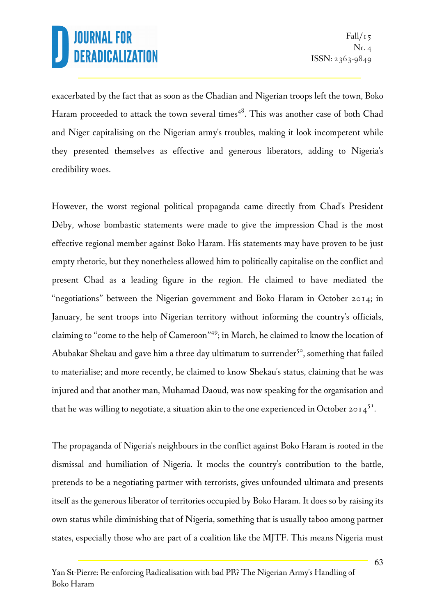exacerbated by the fact that as soon as the Chadian and Nigerian troops left the town, Boko Haram proceeded to attack the town several times<sup>48</sup>. This was another case of both Chad and Niger capitalising on the Nigerian army's troubles, making it look incompetent while they presented themselves as effective and generous liberators, adding to Nigeria's credibility woes.

However, the worst regional political propaganda came directly from Chad's President Déby, whose bombastic statements were made to give the impression Chad is the most effective regional member against Boko Haram. His statements may have proven to be just empty rhetoric, but they nonetheless allowed him to politically capitalise on the conflict and present Chad as a leading figure in the region. He claimed to have mediated the "negotiations" between the Nigerian government and Boko Haram in October 2014; in January, he sent troops into Nigerian territory without informing the country's officials, claiming to "come to the help of Cameroon"<sup>49</sup>; in March, he claimed to know the location of Abubakar Shekau and gave him a three day ultimatum to surrender<sup>50</sup>, something that failed to materialise; and more recently, he claimed to know Shekau's status, claiming that he was injured and that another man, Muhamad Daoud, was now speaking for the organisation and that he was willing to negotiate, a situation akin to the one experienced in October 2014<sup>51</sup>.

The propaganda of Nigeria's neighbours in the conflict against Boko Haram is rooted in the dismissal and humiliation of Nigeria. It mocks the country's contribution to the battle, pretends to be a negotiating partner with terrorists, gives unfounded ultimata and presents itself as the generous liberator of territories occupied by Boko Haram. It does so by raising its own status while diminishing that of Nigeria, something that is usually taboo among partner states, especially those who are part of a coalition like the MJTF. This means Nigeria must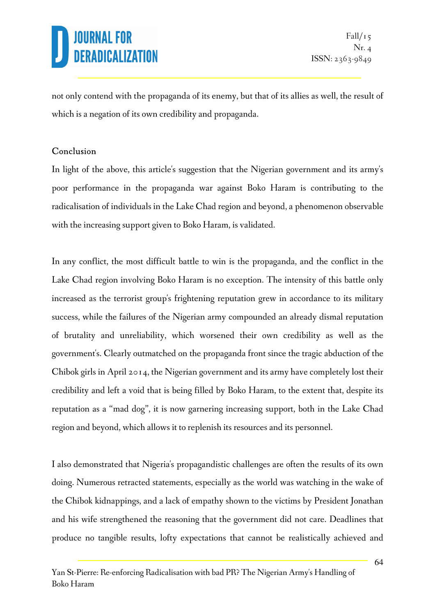not only contend with the propaganda of its enemy, but that of its allies as well, the result of which is a negation of its own credibility and propaganda.

#### Conclusion

In light of the above, this article's suggestion that the Nigerian government and its army's poor performance in the propaganda war against Boko Haram is contributing to the radicalisation of individuals in the Lake Chad region and beyond, a phenomenon observable with the increasing support given to Boko Haram, is validated.

In any conflict, the most difficult battle to win is the propaganda, and the conflict in the Lake Chad region involving Boko Haram is no exception. The intensity of this battle only increased as the terrorist group's frightening reputation grew in accordance to its military success, while the failures of the Nigerian army compounded an already dismal reputation of brutality and unreliability, which worsened their own credibility as well as the government's. Clearly outmatched on the propaganda front since the tragic abduction of the Chibok girls in April 2014, the Nigerian government and its army have completely lost their credibility and left a void that is being filled by Boko Haram, to the extent that, despite its reputation as a "mad dog", it is now garnering increasing support, both in the Lake Chad region and beyond, which allows it to replenish its resources and its personnel.

I also demonstrated that Nigeria's propagandistic challenges are often the results of its own doing. Numerous retracted statements, especially as the world was watching in the wake of the Chibok kidnappings, and a lack of empathy shown to the victims by President Jonathan and his wife strengthened the reasoning that the government did not care. Deadlines that produce no tangible results, lofty expectations that cannot be realistically achieved and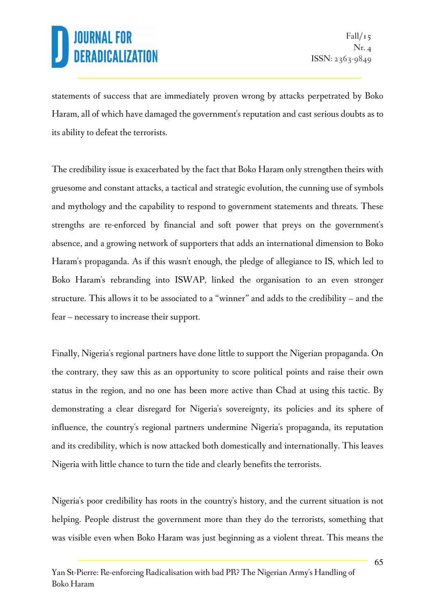statements of success that are immediately proven wrong by attacks perpetrated by Boko Haram, all of which have damaged the government's reputation and cast serious doubts as to its ability to defeat the terrorists.

The credibility issue is exacerbated by the fact that Boko Haram only strengthen theirs with gruesome and constant attacks, a tactical and strategic evolution, the cunning use of symbols and mythology and the capability to respond to government statements and threats. These strengths are re-enforced by financial and soft power that preys on the government's absence, and a growing network of supporters that adds an international dimension to Boko Haram's propaganda. As if this wasn't enough, the pledge of allegiance to IS, which led to Boko Haram's rebranding into ISWAP, linked the organisation to an even stronger structure. This allows it to be associated to a "winner" and adds to the credibility – and the fear – necessary to increase their support.

Finally, Nigeria's regional partners have done little to support the Nigerian propaganda. On the contrary, they saw this as an opportunity to score political points and raise their own status in the region, and no one has been more active than Chad at using this tactic. By demonstrating a clear disregard for Nigeria's sovereignty, its policies and its sphere of influence, the country's regional partners undermine Nigeria's propaganda, its reputation and its credibility, which is now attacked both domestically and internationally. This leaves Nigeria with little chance to turn the tide and clearly benefits the terrorists.

Nigeria's poor credibility has roots in the country's history, and the current situation is not helping. People distrust the government more than they do the terrorists, something that was visible even when Boko Haram was just beginning as a violent threat. This means the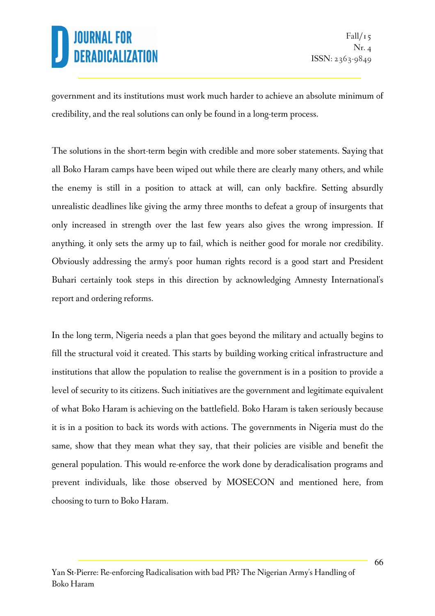government and its institutions must work much harder to achieve an absolute minimum of credibility, and the real solutions can only be found in a long-term process.

The solutions in the short-term begin with credible and more sober statements. Saying that all Boko Haram camps have been wiped out while there are clearly many others, and while the enemy is still in a position to attack at will, can only backfire. Setting absurdly unrealistic deadlines like giving the army three months to defeat a group of insurgents that only increased in strength over the last few years also gives the wrong impression. If anything, it only sets the army up to fail, which is neither good for morale nor credibility. Obviously addressing the army's poor human rights record is a good start and President Buhari certainly took steps in this direction by acknowledging Amnesty International's report and ordering reforms.

In the long term, Nigeria needs a plan that goes beyond the military and actually begins to fill the structural void it created. This starts by building working critical infrastructure and institutions that allow the population to realise the government is in a position to provide a level of security to its citizens. Such initiatives are the government and legitimate equivalent of what Boko Haram is achieving on the battlefield. Boko Haram is taken seriously because it is in a position to back its words with actions. The governments in Nigeria must do the same, show that they mean what they say, that their policies are visible and benefit the general population. This would re-enforce the work done by deradicalisation programs and prevent individuals, like those observed by MOSECON and mentioned here, from choosing to turn to Boko Haram.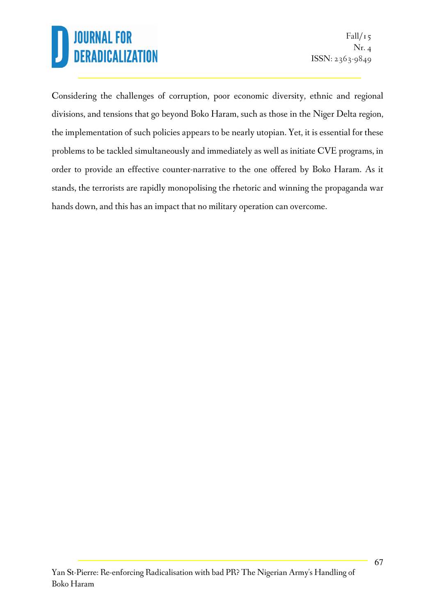Considering the challenges of corruption, poor economic diversity, ethnic and regional divisions, and tensions that go beyond Boko Haram, such as those in the Niger Delta region, the implementation of such policies appears to be nearly utopian. Yet, it is essential for these problems to be tackled simultaneously and immediately as well as initiate CVE programs, in order to provide an effective counter-narrative to the one offered by Boko Haram. As it stands, the terrorists are rapidly monopolising the rhetoric and winning the propaganda war hands down, and this has an impact that no military operation can overcome.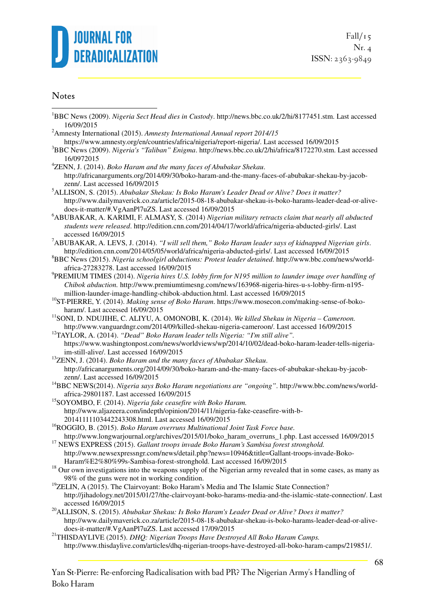

#### **Notes**

 $\overline{a}$ 

- <sup>1</sup>BBC News (2009). *Nigeria Sect Head dies in Custody*. http://news.bbc.co.uk/2/hi/8177451.stm. Last accessed 16/09/2015
- <sup>2</sup>Amnesty International (2015). *Amnesty International Annual report 2014/15*
- https://www.amnesty.org/en/countries/africa/nigeria/report-nigeria/. Last accessed 16/09/2015 <sup>3</sup>BBC News (2009). *Nigeria's "Taliban" Enigma*. http://news.bbc.co.uk/2/hi/africa/8172270.stm. Last accessed
- 16/0972015
- <sup>4</sup>ZENN, J. (2014). *Boko Haram and the many faces of Abubakar Shekau*. http://africanarguments.org/2014/09/30/boko-haram-and-the-many-faces-of-abubakar-shekau-by-jacobzenn/. Last accessed 16/09/2015
- <sup>5</sup>ALLISON, S. (2015). *Abubakar Shekau: Is Boko Haram's Leader Dead or Alive? Does it matter?* http://www.dailymaverick.co.za/article/2015-08-18-abubakar-shekau-is-boko-harams-leader-dead-or-alivedoes-it-matter/#.VgAanPl7uZS. Last accessed 16/09/2015
- <sup>6</sup>ABUBAKAR, A. KARIMI, F. ALMASY, S. (2014) *Nigerian military retracts claim that nearly all abducted students were released*. http://edition.cnn.com/2014/04/17/world/africa/nigeria-abducted-girls/. Last accessed 16/09/2015
- <sup>7</sup>ABUBAKAR, A. LEVS, J. (2014). *"I will sell them," Boko Haram leader says of kidnapped Nigerian girls*. http://edition.cnn.com/2014/05/05/world/africa/nigeria-abducted-girls/. Last accessed 16/09/2015
- <sup>8</sup>BBC News (2015). *Nigeria schoolgirl abductions: Protest leader detained*. http://www.bbc.com/news/worldafrica-27283278. Last accessed 16/09/2015
- 9 PREMIUM TIMES (2014). *Nigeria hires U.S. lobby firm for N195 million to launder image over handling of Chibok abduction.* http://www.premiumtimesng.com/news/163968-nigeria-hires-u-s-lobby-firm-n195 million-launder-image-handling-chibok-abduction.html. Last accessed 16/09/2015
- <sup>10</sup>ST-PIERRE, Y. (2014). *Making sense of Boko Haram*. https://www.mosecon.com/making-sense-of-bokoharam/. Last accessed 16/09/2015
- <sup>11</sup>SONI, D. NDUJIHE, C. ALIYU, A. OMONOBI, K. (2014). *We killed Shekau in Nigeria Cameroon.* http://www.vanguardngr.com/2014/09/killed-shekau-nigeria-cameroon/. Last accessed 16/09/2015
- <sup>12</sup>TAYLOR, A. (2014). *"Dead" Boko Haram leader tells Nigeria: "I'm still alive".* https://www.washingtonpost.com/news/worldviews/wp/2014/10/02/dead-boko-haram-leader-tells-nigeriaim-still-alive/. Last accessed 16/09/2015
- <sup>13</sup>ZENN, J. (2014). *Boko Haram and the many faces of Abubakar Shekau*. http://africanarguments.org/2014/09/30/boko-haram-and-the-many-faces-of-abubakar-shekau-by-jacobzenn/. Last accessed 16/09/2015
- <sup>14</sup>BBC NEWS(2014). *Nigeria says Boko Haram negotiations are "ongoing"*. http://www.bbc.com/news/worldafrica-29801187. Last accessed 16/09/2015
- <sup>15</sup>SOYOMBO, F. (2014). *Nigeria fake ceasefire with Boko Haram.* http://www.aljazeera.com/indepth/opinion/2014/11/nigeria-fake-ceasefire-with-b-20141111103442243308.html. Last accessed 16/09/2015
- <sup>16</sup>ROGGIO, B. (2015). *Boko Haram overruns Multinational Joint Task Force base.*  http://www.longwarjournal.org/archives/2015/01/boko\_haram\_overruns\_1.php. Last accessed 16/09/2015
- <sup>17</sup> NEWS EXPRESS (2015). *Gallant troops invade Boko Haram's Sambisa forest stronghold.* http://www.newsexpressngr.com/news/detail.php?news=10946&title=Gallant-troops-invade-Boko-Haram%E2%80%99s-Sambisa-forest-stronghold. Last accessed 16/09/2015
- <sup>18</sup> Our own investigations into the weapons supply of the Nigerian army revealed that in some cases, as many as 98% of the guns were not in working condition.
- $19$ ZELIN, A (2015). The Clairvoyant: Boko Haram's Media and The Islamic State Connection? http://jihadology.net/2015/01/27/the-clairvoyant-boko-harams-media-and-the-islamic-state-connection/. Last accessed 16/09/2015
- <sup>20</sup>ALLISON, S. (2015). *Abubakar Shekau: Is Boko Haram's Leader Dead or Alive? Does it matter?* http://www.dailymaverick.co.za/article/2015-08-18-abubakar-shekau-is-boko-harams-leader-dead-or-alivedoes-it-matter/#.VgAanPl7uZS. Last accessed 17/09/2015
- <sup>21</sup>THISDAYLIVE (2015). *DHQ: Nigerian Troops Have Destroyed All Boko Haram Camps.* http://www.thisdaylive.com/articles/dhq-nigerian-troops-have-destroyed-all-boko-haram-camps/219851/.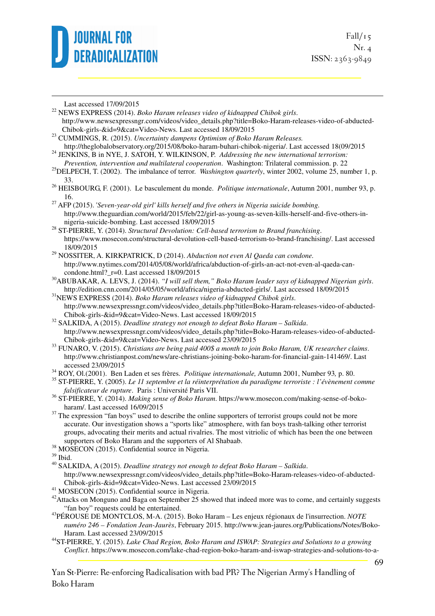

 $Fall/r<sub>5</sub>$ Nr. 4 ISSN: 2363-9849

Last accessed 17/09/2015

1

<sup>22</sup> NEWS EXPRESS (2014). *Boko Haram releases video of kidnapped Chibok girls*.

- http://www.newsexpressngr.com/videos/video\_details.php?title=Boko-Haram-releases-video-of-abducted-Chibok-girls-&id=9&cat=Video-News. Last accessed 18/09/2015
- <sup>23</sup> CUMMINGS, R. (2015). *Uncertainty dampens Optimism of Boko Haram Releases.* http://theglobalobservatory.org/2015/08/boko-haram-buhari-chibok-nigeria/. Last accessed 18(09/2015

<sup>24</sup> JENKINS, B in NYE, J. SATOH, Y. WILKINSON, P. *Addressing the new international terrorism: Prevention, intervention and multilateral cooperation*. Washington: Trilateral commission. p. 22

<sup>25</sup>DELPECH, T. (2002). The imbalance of terror. *Washington quarterly*, winter 2002, volume 25, number 1, p. 33.

<sup>26</sup> HEISBOURG, F. (2001). Le basculement du monde. *Politique internationale*, Autumn 2001, number 93, p. 16.

<sup>27</sup> AFP (2015). '*Seven-year-old girl' kills herself and five others in Nigeria suicide bombing.* http://www.theguardian.com/world/2015/feb/22/girl-as-young-as-seven-kills-herself-and-five-others-innigeria-suicide-bombing. Last accessed 18/09/2015

<sup>28</sup> ST-PIERRE, Y. (2014). *Structural Devolution: Cell-based terrorism to Brand franchising*. https://www.mosecon.com/structural-devolution-cell-based-terrorism-to-brand-franchising/. Last accessed 18/09/2015

<sup>29</sup> NOSSITER, A. KIRKPATRICK, D (2014). *Abduction not even Al Qaeda can condone.* http://www.nytimes.com/2014/05/08/world/africa/abduction-of-girls-an-act-not-even-al-qaeda-cancondone.html? r=0. Last accessed 18/09/2015

<sup>30</sup>ABUBAKAR, A. LEVS, J. (2014). *"I will sell them," Boko Haram leader says of kidnapped Nigerian girls*. http://edition.cnn.com/2014/05/05/world/africa/nigeria-abducted-girls/. Last accessed 18/09/2015

<sup>31</sup>NEWS EXPRESS (2014). *Boko Haram releases video of kidnapped Chibok girls*. http://www.newsexpressngr.com/videos/video\_details.php?title=Boko-Haram-releases-video-of-abducted-Chibok-girls-&id=9&cat=Video-News. Last accessed 18/09/2015

<sup>32</sup> SALKIDA, A (2015). *Deadline strategy not enough to defeat Boko Haram – Salkida*. http://www.newsexpressngr.com/videos/video\_details.php?title=Boko-Haram-releases-video-of-abducted-Chibok-girls-&id=9&cat=Video-News. Last accessed 23/09/2015

<sup>33</sup> FUNARO, V. (2015). *Christians are being paid 400\$ a month to join Boko Haram, UK researcher claims*. http://www.christianpost.com/news/are-christians-joining-boko-haram-for-financial-gain-141469/. Last accessed 23/09/2015

<sup>34</sup> ROY, Ol.(2001). Ben Laden et ses frères. *Politique internationale,* Autumn 2001, Number 93*,* p. 80.

<sup>35</sup> ST-PIERRE, Y. (2005). *Le 11 septembre et la réinterprétation du paradigme terroriste : l'évènement comme falsificateur de rupture*. Paris : Université Paris VII.

<sup>36</sup> ST-PIERRE, Y. (2014). *Making sense of Boko Haram*. https://www.mosecon.com/making-sense-of-bokoharam/. Last accessed 16/09/2015

- <sup>37</sup> The expression "fan boys" used to describe the online supporters of terrorist groups could not be more accurate. Our investigation shows a "sports like" atmosphere, with fan boys trash-talking other terrorist groups, advocating their merits and actual rivalries. The most vitriolic of which has been the one between supporters of Boko Haram and the supporters of Al Shabaab.
- <sup>38</sup> MOSECON (2015). Confidential source in Nigeria.

- <sup>40</sup> SALKIDA, A (2015). *Deadline strategy not enough to defeat Boko Haram Salkida*. http://www.newsexpressngr.com/videos/video\_details.php?title=Boko-Haram-releases-video-of-abducted-Chibok-girls-&id=9&cat=Video-News. Last accessed 23/09/2015
- <sup>41</sup> MOSECON (2015). Confidential source in Nigeria.
- $42$ Attacks on Monguno and Baga on September 25 showed that indeed more was to come, and certainly suggests "fan boy" requests could be entertained.
- <sup>43</sup>PÉROUSE DE MONTCLOS, M-A. (2015). Boko Haram Les enjeux régionaux de l'insurrection. *NOTE numéro 246 – Fondation Jean-Jaurès*, February 2015. http://www.jean-jaures.org/Publications/Notes/Boko-Haram. Last accessed 23/09/2015
- <sup>44</sup>ST-PIERRE, Y. (2015). *Lake Chad Region, Boko Haram and ISWAP: Strategies and Solutions to a growing Conflict*. https://www.mosecon.com/lake-chad-region-boko-haram-and-iswap-strategies-and-solutions-to-a-

Yan St-Pierre: Re-enforcing Radicalisation with bad PR? The Nigerian Army's Handling of Boko Haram

<sup>39</sup> Ibid.